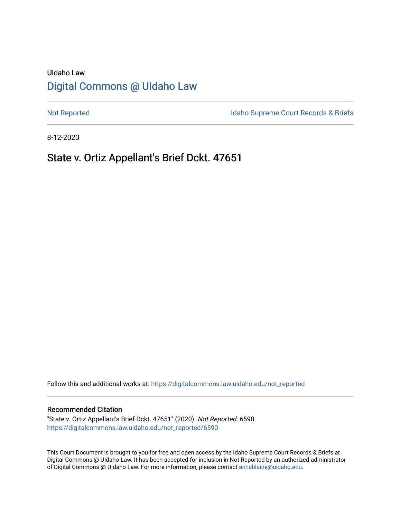## UIdaho Law [Digital Commons @ UIdaho Law](https://digitalcommons.law.uidaho.edu/)

[Not Reported](https://digitalcommons.law.uidaho.edu/not_reported) **Idaho Supreme Court Records & Briefs** 

8-12-2020

# State v. Ortiz Appellant's Brief Dckt. 47651

Follow this and additional works at: [https://digitalcommons.law.uidaho.edu/not\\_reported](https://digitalcommons.law.uidaho.edu/not_reported?utm_source=digitalcommons.law.uidaho.edu%2Fnot_reported%2F6590&utm_medium=PDF&utm_campaign=PDFCoverPages) 

#### Recommended Citation

"State v. Ortiz Appellant's Brief Dckt. 47651" (2020). Not Reported. 6590. [https://digitalcommons.law.uidaho.edu/not\\_reported/6590](https://digitalcommons.law.uidaho.edu/not_reported/6590?utm_source=digitalcommons.law.uidaho.edu%2Fnot_reported%2F6590&utm_medium=PDF&utm_campaign=PDFCoverPages)

This Court Document is brought to you for free and open access by the Idaho Supreme Court Records & Briefs at Digital Commons @ UIdaho Law. It has been accepted for inclusion in Not Reported by an authorized administrator of Digital Commons @ UIdaho Law. For more information, please contact [annablaine@uidaho.edu](mailto:annablaine@uidaho.edu).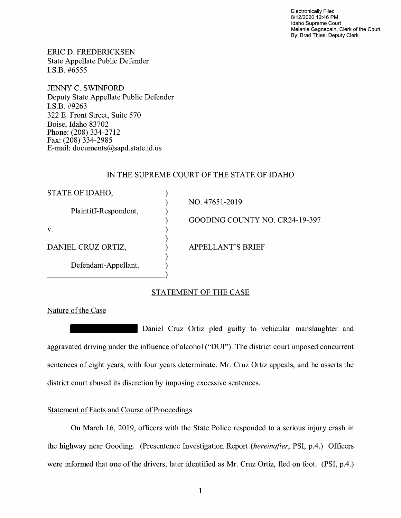Electronically Filed 8/12/2020 12:46 PM Idaho Supreme Court Melanie Gagnepain, Clerk of the Court By: Brad Thies, Deputy Clerk

ERIC D. FREDERICKSEN State Appellate Public Defender I.S.B. #6555

JENNY C. SWINFORD Deputy State Appellate Public Defender I.S.B. #9263 322 E. Front Street, Suite 570 Boise, Idaho 83702 Phone: (208) 334-2712 Fax: (208) 334-2985 E-mail: documents@sapd.state.id. us

### IN THE SUPREME COURT OF THE STATE OF IDAHO

| STATE OF IDAHO,       |                                |
|-----------------------|--------------------------------|
|                       | NO. 47651-2019                 |
| Plaintiff-Respondent, |                                |
|                       | GOODING COUNTY NO. CR24-19-397 |
| V.                    |                                |
|                       |                                |
| DANIEL CRUZ ORTIZ,    | <b>APPELLANT'S BRIEF</b>       |
|                       |                                |
|                       |                                |
|                       |                                |
| Defendant-Appellant.  |                                |

## STATEMENT OF THE CASE

Nature of the Case

Daniel Cruz Ortiz pied guilty to vehicular manslaughter and aggravated driving under the influence of alcohol ("DUI"). The district court imposed concurrent sentences of eight years, with four years determinate. Mr. Cruz Ortiz appeals, and he asserts the district court abused its discretion by imposing excessive sentences.

## Statement of Facts and Course of Proceedings

On March 16, 2019, officers with the State Police responded to a serious injury crash in the highway near Gooding. (Presentence Investigation Report *(hereinafter,* PSI, p.4.) Officers were informed that one of the drivers, later identified as Mr. Cruz Ortiz, fled on foot. (PSI, p.4.)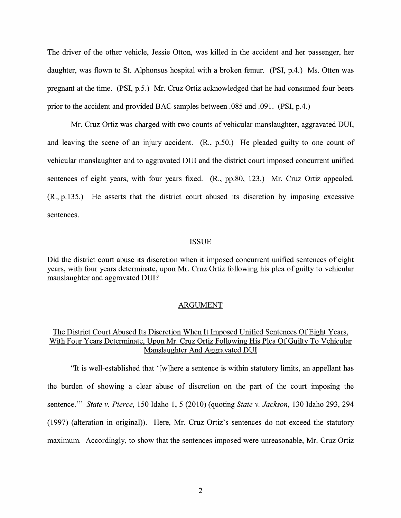The driver of the other vehicle, Jessie Otton, was killed in the accident and her passenger, her daughter, was flown to St. Alphonsus hospital with a broken femur. (PSI, p.4.) Ms. Otten was pregnant at the time. (PSI, p.5.) Mr. Cruz Ortiz acknowledged that he had consumed four beers prior to the accident and provided BAC samples between .085 and .091. (PSI, p.4.)

Mr. Cruz Ortiz was charged with two counts of vehicular manslaughter, aggravated DUI, and leaving the scene of an injury accident. (R., p.50.) He pleaded guilty to one count of vehicular manslaughter and to aggravated DUI and the district court imposed concurrent unified sentences of eight years, with four years fixed. **(R.,** pp.80, 123.) Mr. Cruz Ortiz appealed. **(R.,** p.135.) He asserts that the district court abused its discretion by imposing excessive sentences.

#### ISSUE

Did the district court abuse its discretion when it imposed concurrent unified sentences of eight years, with four years determinate, upon Mr. Cruz Ortiz following his plea of guilty to vehicular manslaughter and aggravated DUI?

#### ARGUMENT

## The District Court Abused Its Discretion When It Imposed Unified Sentences Of Eight Years, With Four Years Determinate, Upon Mr. Cruz Ortiz Following His Plea Of Guilty To Vehicular Manslaughter And Aggravated DUI

"It is well-established that ' [ w ]here a sentence is within statutory limits, an appellant has the burden of showing a clear abuse of discretion on the part of the court imposing the sentence."' *State v. Pierce,* 150 Idaho 1, 5 (2010) (quoting *State v. Jackson,* 130 Idaho 293, 294 (1997) (alteration in original)). Here, Mr. Cruz Ortiz's sentences do not exceed the statutory maximum. Accordingly, to show that the sentences imposed were unreasonable, Mr. Cruz Ortiz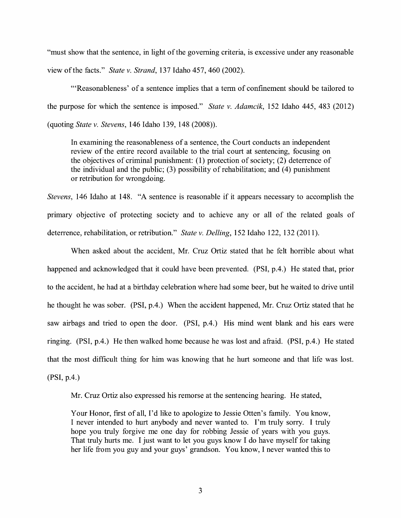"must show that the sentence, in light of the governing criteria, is excessive under any reasonable view of the facts." *State v. Strand,* 137 Idaho 457, 460 (2002).

"'Reasonableness' of a sentence implies that a term of confinement should be tailored to the purpose for which the sentence is imposed." *State v. Adamcik,* 152 Idaho 445, 483 (2012) (quoting *State v. Stevens,* 146 Idaho 139, 148 (2008)).

In examining the reasonableness of a sentence, the Court conducts an independent review of the entire record available to the trial court at sentencing, focusing on the objectives of criminal punishment: (1) protection of society; (2) deterrence of the individual and the public;  $(3)$  possibility of rehabilitation; and  $(4)$  punishment or retribution for wrongdoing.

*Stevens,* 146 Idaho at 148. "A sentence is reasonable if it appears necessary to accomplish the primary objective of protecting society and to achieve any or all of the related goals of deterrence, rehabilitation, or retribution." *State v. Delling,* 152 Idaho 122, 132 (2011).

When asked about the accident, Mr. Cruz Ortiz stated that he felt horrible about what happened and acknowledged that it could have been prevented. (PSI, p.4.) He stated that, prior to the accident, he had at a birthday celebration where had some beer, but he waited to drive until he thought he was sober. (PSI, p.4.) When the accident happened, Mr. Cruz Ortiz stated that he saw airbags and tried to open the door. (PSI, p.4.) His mind went blank and his ears were ringing. (PSI, p.4.) He then walked home because he was lost and afraid. (PSI, p.4.) He stated that the most difficult thing for him was knowing that he hurt someone and that life was lost. **(PSI,** p.4.)

Mr. Cruz Ortiz also expressed his remorse at the sentencing hearing. He stated,

Your Honor, first of all, I'd like to apologize to Jessie Otten's family. You know, I never intended to hurt anybody and never wanted to. I'm truly sorry. I truly hope you truly forgive me one day for robbing Jessie of years with you guys. That truly hurts me. I just want to let you guys know I do have myself for taking her life from you guy and your guys' grandson. You know, I never wanted this to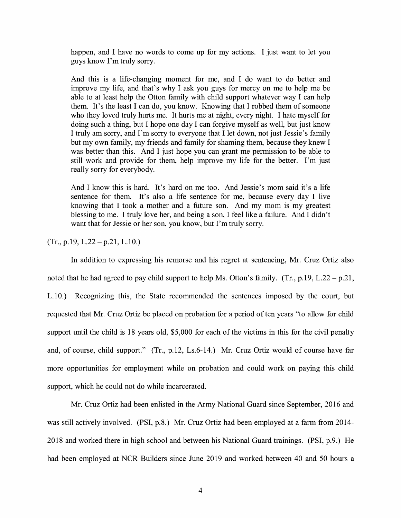happen, and I have no words to come up for my actions. I just want to let you guys know I'm truly sorry.

And this is a life-changing moment for me, and I do want to do better and improve my life, and that's why I ask you guys for mercy on me to help me be able to at least help the Otton family with child support whatever way I can help them. It's the least I can do, you know. Knowing that I robbed them of someone who they loved truly hurts me. It hurts me at night, every night. I hate myself for doing such a thing, but I hope one day I can forgive myself as well, but just know I truly am sorry, and I'm sorry to everyone that I let down, not just Jessie's family but my own family, my friends and family for shaming them, because they knew I was better than this. And I just hope you can grant me permission to be able to still work and provide for them, help improve my life for the better. I'm just really sorry for everybody.

And I know this is hard. It's hard on me too. And Jessie's mom said it's a life sentence for them. It's also a life sentence for me, because every day I live knowing that I took a mother and a future son. And my mom is my greatest blessing to me. I truly love her, and being a son, I feel like a failure. And I didn't want that for Jessie or her son, you know, but I'm truly sorry.

 $(Tr., p.19, L.22 - p.21, L.10.)$ 

In addition to expressing his remorse and his regret at sentencing, Mr. Cruz Ortiz also noted that he had agreed to pay child support to help Ms. Otton's family. (Tr., p.19, L.22 – p.21, L.10.) Recognizing this, the State recommended the sentences imposed by the court, but requested that Mr. Cruz Ortiz be placed on probation for a period of ten years "to allow for child support until the child is 18 years old, \$5,000 for each of the victims in this for the civil penalty and, of course, child support." (Tr., p.12, Ls.6-14.) Mr. Cruz Ortiz would of course have far more opportunities for employment while on probation and could work on paying this child support, which he could not do while incarcerated.

Mr. Cruz Ortiz had been enlisted in the Army National Guard since September, 2016 and was still actively involved. **(PSI,** p.8.) Mr. Cruz Ortiz had been employed at a farm from 2014- 2018 and worked there in high school and between his National Guard trainings. (PSI, p.9.) He had been employed at NCR Builders since June 2019 and worked between 40 and 50 hours a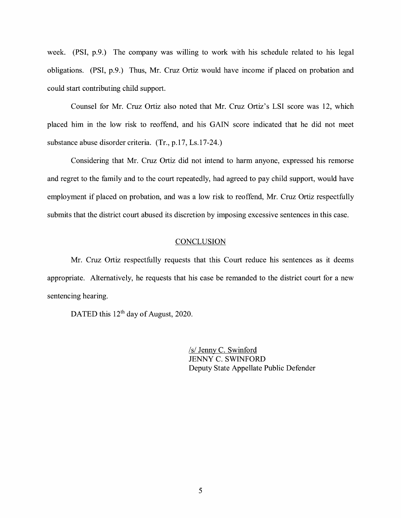week. (PSI, p.9.) The company was willing to work with his schedule related to his legal obligations. (PSI, p.9.) Thus, Mr. Cruz Ortiz would have income if placed on probation and could start contributing child support.

Counsel for Mr. Cruz Ortiz also noted that Mr. Cruz Ortiz's LSI score was 12, which placed him in the low risk to reoffend, and his GAIN score indicated that he did not meet substance abuse disorder criteria. (Tr., p.17, Ls.17-24.)

Considering that Mr. Cruz Ortiz did not intend to harm anyone, expressed his remorse and regret to the family and to the court repeatedly, had agreed to pay child support, would have employment if placed on probation, and was a low risk to reoffend, Mr. Cruz Ortiz respectfully submits that the district court abused its discretion by imposing excessive sentences in this case.

### **CONCLUSION**

Mr. Cruz Ortiz respectfully requests that this Court reduce his sentences as it deems appropriate. Alternatively, he requests that his case be remanded to the district court for a new sentencing hearing.

DATED this 12<sup>th</sup> day of August, 2020.

*Isl* Jenny C. Swinford JENNY C. SWINFORD Deputy State Appellate Public Defender